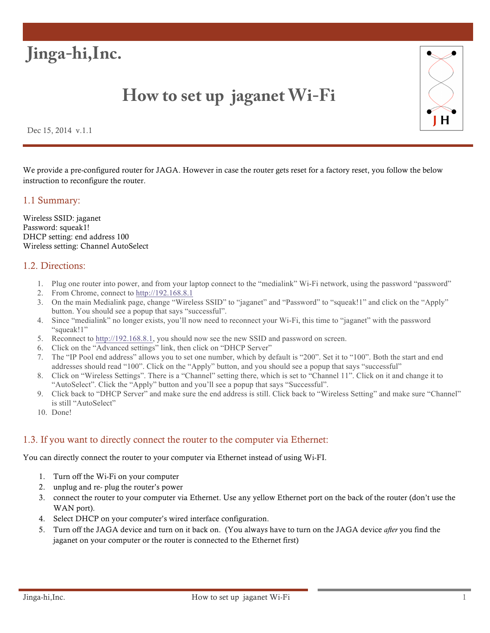

# **How to set up jaganet Wi-Fi**



Dec 15, 2014 v.1.1

We provide a pre-configured router for JAGA. However in case the router gets reset for a factory reset, you follow the below instruction to reconfigure the router.

#### 1.1 Summary:

Wireless SSID: jaganet Password: squeak1! DHCP setting: end address 100 Wireless setting: Channel AutoSelect

### 1.2. Directions:

- 1. Plug one router into power, and from your laptop connect to the "medialink" Wi-Fi network, using the password "password"
- 2. From Chrome, connect to http://192.168.8.1
- 3. On the main Medialink page, change "Wireless SSID" to "jaganet" and "Password" to "squeak!1" and click on the "Apply" button. You should see a popup that says "successful".
- 4. Since "medialink" no longer exists, you'll now need to reconnect your Wi-Fi, this time to "jaganet" with the password "squeak!1"
- 5. Reconnect to http://192.168.8.1, you should now see the new SSID and password on screen.
- 6. Click on the "Advanced settings" link, then click on "DHCP Server"
- 7. The "IP Pool end address" allows you to set one number, which by default is "200". Set it to "100". Both the start and end addresses should read "100". Click on the "Apply" button, and you should see a popup that says "successful"
- 8. Click on "Wireless Settings". There is a "Channel" setting there, which is set to "Channel 11". Click on it and change it to "AutoSelect". Click the "Apply" button and you'll see a popup that says "Successful".
- 9. Click back to "DHCP Server" and make sure the end address is still. Click back to "Wireless Setting" and make sure "Channel" is still "AutoSelect"
- 10. Done!

### 1.3. If you want to directly connect the router to the computer via Ethernet:

You can directly connect the router to your computer via Ethernet instead of using Wi-FI.

- 1. Turn off the Wi-Fi on your computer
- 2. unplug and re- plug the router's power
- 3. connect the router to your computer via Ethernet. Use any yellow Ethernet port on the back of the router (don't use the WAN port).
- 4. Select DHCP on your computer's wired interface configuration.
- 5. Turn off the JAGA device and turn on it back on. (You always have to turn on the JAGA device *after* you find the jaganet on your computer or the router is connected to the Ethernet first)